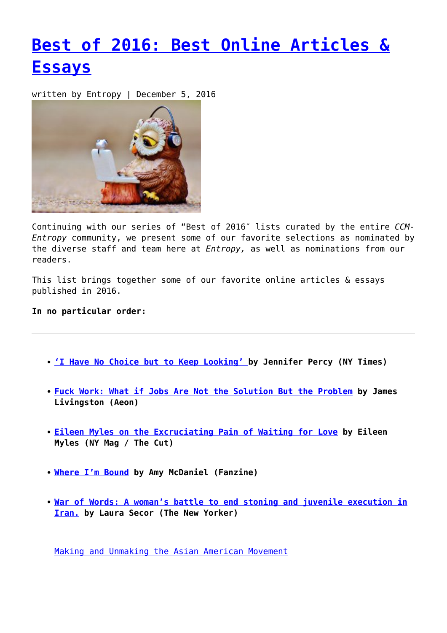## **[Best of 2016: Best Online Articles &](https://entropymag.org/best-of-2016-best-online-articles-essays/) [Essays](https://entropymag.org/best-of-2016-best-online-articles-essays/)**

written by Entropy | December 5, 2016



Continuing with our series of "Best of 2016″ lists curated by the entire *CCM-Entropy* community, we present some of our favorite selections as nominated by the diverse staff and team here at *Entropy,* as well as nominations from our readers.

This list brings together some of our favorite online articles & essays published in 2016.

## **In no particular order:**

- **['I Have No Choice but to Keep Looking' b](http://www.nytimes.com/2016/08/07/magazine/the-lost-ones.html)y Jennifer Percy (NY Times)**
- **[Fuck Work: What if Jobs Are Not the Solution But the Problem](https://aeon.co/essays/what-if-jobs-are-not-the-solution-but-the-problem) by James Livingston (Aeon)**
- **[Eileen Myles on the Excruciating Pain of Waiting for Love](http://nymag.com/thecut/2016/02/eileen-myles-on-the-pain-of-waiting-for-love.html) by Eileen Myles (NY Mag / The Cut)**
- **[Where I'm Bound](http://thefanzine.com/where-im-bound/) by Amy McDaniel (Fanzine)**
- **[War of Words: A woman's battle to end stoning and juvenile execution in](http://www.newyorker.com/magazine/2016/01/04/war-of-words-annals-of-activism-laura-secor) [Iran.](http://www.newyorker.com/magazine/2016/01/04/war-of-words-annals-of-activism-laura-secor) by Laura Secor (The New Yorker)**

[Making and Unmaking the Asian American Movement](http://aaww.org/asian-american-movement/)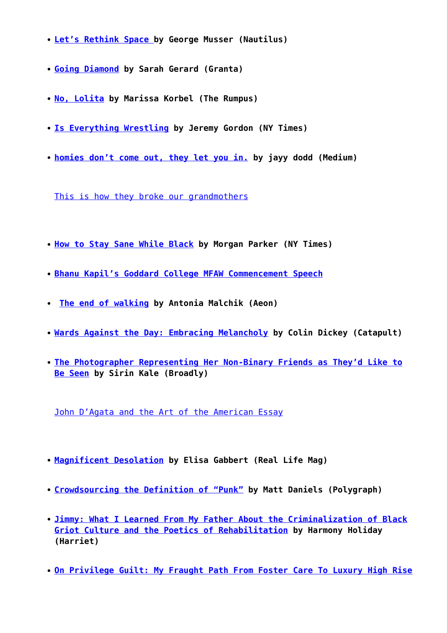- **[Let's Rethink Space b](http://nautil.us/issue/32/space/lets-rethink-space)y George Musser (Nautilus)**
- **[Going Diamond](https://granta.com/going-diamond/) by Sarah Gerard (Granta)**
- **[No, Lolita](http://therumpus.net/2016/03/no-lolita/) by Marissa Korbel (The Rumpus)**
- **[Is Everything Wrestling](http://www.nytimes.com/2016/05/27/magazine/is-everything-wrestling.html) by Jeremy Gordon (NY Times)**
- **[homies don't come out, they let you in.](https://medium.com/@jayydodd/homies-dont-come-out-they-let-you-in-aaf9ad991d8c#.fu92q245c) by jayy dodd (Medium)**

[This is how they broke our grandmothers](http://www.feministcurrent.com/2016/10/04/this-is-how-they-broke-our-grandmothers/)

- **[How to Stay Sane While Black](http://www.nytimes.com/2016/11/20/opinion/sunday/how-to-stay-sane-while-black.html) by Morgan Parker (NY Times)**
- **[Bhanu Kapil's Goddard College MFAW Commencement Speech](http://thewriterintheworld.com/2016/08/15/bhanu-kapils-goddard-college-mfaw-commencement-speech/)**
- **[The end of walking](https://aeon.co/essays/step-by-step-americans-are-sacrificing-the-right-to-walk) by Antonia Malchik (Aeon)**
- **[Wards Against the Day: Embracing Melancholy](https://catapult.co/stories/wards-against-the-day) by Colin Dickey (Catapult)**
- **[The Photographer Representing Her Non-Binary Friends as They'd Like to](https://broadly.vice.com/en_us/article/laurence-philomene-non-binary-photos-interview) [Be Seen](https://broadly.vice.com/en_us/article/laurence-philomene-non-binary-photos-interview) by Sirin Kale (Broadly)**

[John D'Agata and the Art of the American Essay](http://lithub.com/john-dagata-and-the-art-of-the-american-essay/)

- **[Magnificent Desolation](http://reallifemag.com/magnificent-desolation/) by Elisa Gabbert (Real Life Mag)**
- **[Crowdsourcing the Definition of "Punk"](http://poly-graph.co/punk/) by Matt Daniels (Polygraph)**
- **[Jimmy: What I Learned From My Father About the Criminalization of Black](https://www.poetryfoundation.org/harriet/2016/10/jimmy-what-i-learned-from-my-father-about-the-criminalization-of-black-griot-culture-and-the-poetics-of-rehabilitation/) [Griot Culture and the Poetics of Rehabilitation](https://www.poetryfoundation.org/harriet/2016/10/jimmy-what-i-learned-from-my-father-about-the-criminalization-of-black-griot-culture-and-the-poetics-of-rehabilitation/) by Harmony Holiday (Harriet)**
- **[On Privilege Guilt: My Fraught Path From Foster Care To Luxury High Rise](http://www.theestablishment.co/2016/02/04/on-privilege-guilt-my-fraught-path-from-foster-care-to-luxury-high-rise/)**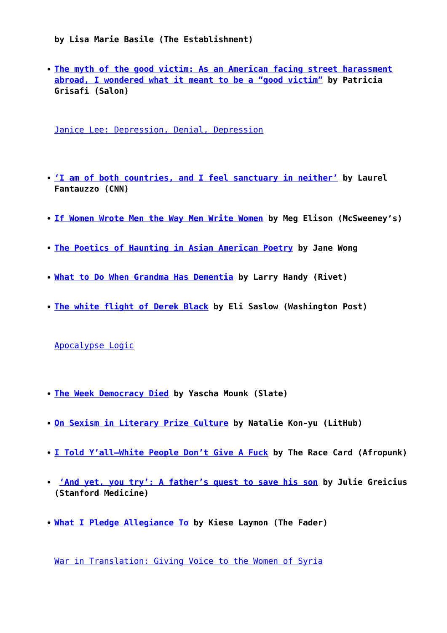**by Lisa Marie Basile (The Establishment)**

**[The myth of the good victim: As an American facing street harassment](http://www.salon.com/2016/03/25/the_myth_of_the_good_victim_as_an_american_facing_street_harassment_abroad_i_wondered_what_it_meant_to_be_a_good_victim/) [abroad, I wondered what it meant to be a "good victim"](http://www.salon.com/2016/03/25/the_myth_of_the_good_victim_as_an_american_facing_street_harassment_abroad_i_wondered_what_it_meant_to_be_a_good_victim/) by Patricia Grisafi (Salon)**

[Janice Lee: Depression, Denial, Depression](http://www.berfrois.com/2016/03/janice-lee-depression-denial-depression/)

- **['I am of both countries, and I feel sanctuary in neither'](http://cnnphilippines.com/life/culture/politics/2016/11/04/ph-us-violence.html) by Laurel Fantauzzo (CNN)**
- **[If Women Wrote Men the Way Men Write Women](https://www.mcsweeneys.net/articles/if-women-wrote-men-the-way-men-write-women) by Meg Elison (McSweeney's)**
- **[The Poetics of Haunting in Asian American Poetry](http://poeticsofhaunting.com/) by Jane Wong**
- **[What to Do When Grandma Has Dementia](http://rivetjournal.com/what-to-do-when-grandma-has-dementia-by-larry-handy/) by Larry Handy (Rivet)**
- **[The white flight of Derek Black](https://www.washingtonpost.com/national/the-white-flight-of-derek-black/2016/10/15/ed5f906a-8f3b-11e6-a6a3-d50061aa9fae_story.html?utm_term=.b6c445271923) by Eli Saslow (Washington Post)**

[Apocalypse Logic](https://theoffingmag.com/insight/apocalypse-logic/)

- **[The Week Democracy Died](http://www.slate.com/articles/news_and_politics/cover_story/2016/08/the_week_democracy_died_how_brexit_nice_turkey_and_trump_are_all_connected.html) by Yascha Mounk (Slate)**
- **[On Sexism in Literary Prize Culture](http://lithub.com/on-sexism-in-literary-prize-culture/) by Natalie Kon-yu (LitHub)**
- **[I Told Y'all—White People Don't Give A Fuck](http://www.afropunk.com/profiles/blogs/i-told-y-all-white-people-don-t-give-a-fuck) by The Race Card (Afropunk)**
- **['And yet, you try': A father's quest to save his son](http://stanmed.stanford.edu/2016fall/milan-gambhirs-li-fraumeni-syndrome.html) by Julie Greicius (Stanford Medicine)**
- **[What I Pledge Allegiance To](http://www.thefader.com/2016/09/19/my-mississippi-pledge-kiese-laymon) by Kiese Laymon (The Fader)**

[War in Translation: Giving Voice to the Women of Syria](http://lithub.com/war-in-translation-giving-voice-to-the-women-of-syria/)